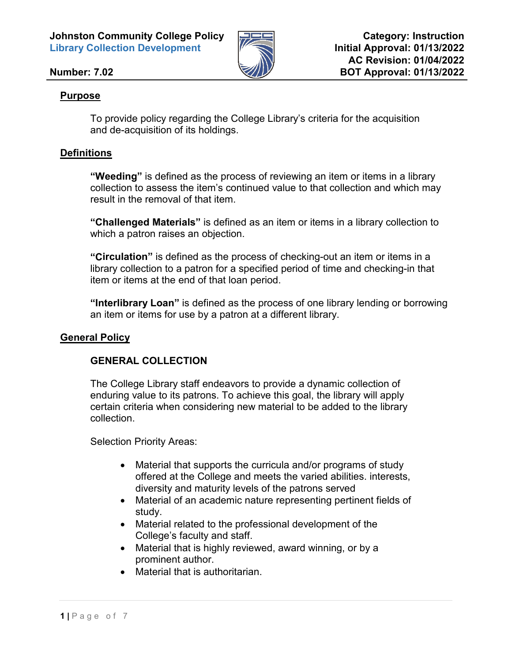**Johnston Community College Policy Library Collection Development** 



# **Number: 7.02**

# **Purpose**

To provide policy regarding the College Library's criteria for the acquisition and de-acquisition of its holdings.

# **Definitions**

**"Weeding"** is defined as the process of reviewing an item or items in a library collection to assess the item's continued value to that collection and which may result in the removal of that item.

**"Challenged Materials"** is defined as an item or items in a library collection to which a patron raises an objection.

**"Circulation"** is defined as the process of checking-out an item or items in a library collection to a patron for a specified period of time and checking-in that item or items at the end of that loan period.

**"Interlibrary Loan"** is defined as the process of one library lending or borrowing an item or items for use by a patron at a different library.

# **General Policy**

# **GENERAL COLLECTION**

The College Library staff endeavors to provide a dynamic collection of enduring value to its patrons. To achieve this goal, the library will apply certain criteria when considering new material to be added to the library collection.

Selection Priority Areas:

- Material that supports the curricula and/or programs of study offered at the College and meets the varied abilities. interests, diversity and maturity levels of the patrons served
- Material of an academic nature representing pertinent fields of study.
- Material related to the professional development of the College's faculty and staff.
- Material that is highly reviewed, award winning, or by a prominent author.
- Material that is authoritarian.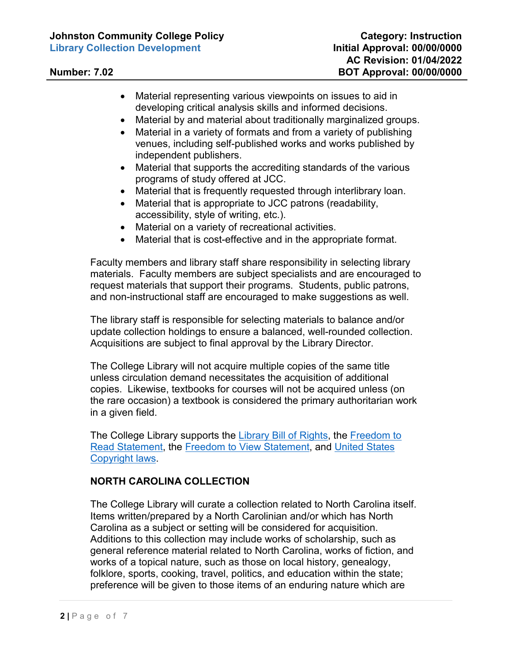- Material representing various viewpoints on issues to aid in developing critical analysis skills and informed decisions.
- Material by and material about traditionally marginalized groups.
- Material in a variety of formats and from a variety of publishing venues, including self-published works and works published by independent publishers.
- Material that supports the accrediting standards of the various programs of study offered at JCC.
- Material that is frequently requested through interlibrary loan.
- Material that is appropriate to JCC patrons (readability, accessibility, style of writing, etc.).
- Material on a variety of recreational activities.
- Material that is cost-effective and in the appropriate format.

Faculty members and library staff share responsibility in selecting library materials. Faculty members are subject specialists and are encouraged to request materials that support their programs. Students, public patrons, and non-instructional staff are encouraged to make suggestions as well.

The library staff is responsible for selecting materials to balance and/or update collection holdings to ensure a balanced, well-rounded collection. Acquisitions are subject to final approval by the Library Director.

The College Library will not acquire multiple copies of the same title unless circulation demand necessitates the acquisition of additional copies. Likewise, textbooks for courses will not be acquired unless (on the rare occasion) a textbook is considered the primary authoritarian work in a given field.

The College Library supports the [Library Bill of Rights,](https://www.ala.org/advocacy/intfreedom/librarybill) the [Freedom to](https://www.ala.org/advocacy/intfreedom/freedomreadstatement)  [Read Statement,](https://www.ala.org/advocacy/intfreedom/freedomreadstatement) the [Freedom to View Statement,](https://www.ala.org/advocacy/intfreedom/freedomviewstatement) and [United States](https://www.copyright.gov/title17/)  [Copyright laws.](https://www.copyright.gov/title17/)

# **NORTH CAROLINA COLLECTION**

The College Library will curate a collection related to North Carolina itself. Items written/prepared by a North Carolinian and/or which has North Carolina as a subject or setting will be considered for acquisition. Additions to this collection may include works of scholarship, such as general reference material related to North Carolina, works of fiction, and works of a topical nature, such as those on local history, genealogy, folklore, sports, cooking, travel, politics, and education within the state; preference will be given to those items of an enduring nature which are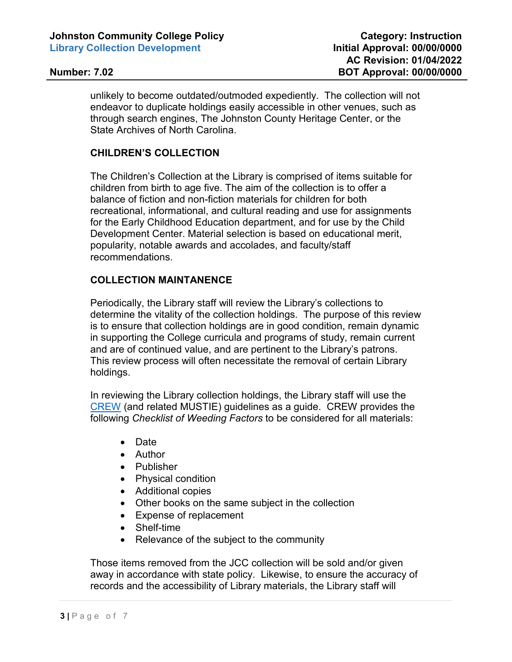unlikely to become outdated/outmoded expediently. The collection will not endeavor to duplicate holdings easily accessible in other venues, such as through search engines, The Johnston County Heritage Center, or the State Archives of North Carolina.

# **CHILDREN'S COLLECTION**

The Children's Collection at the Library is comprised of items suitable for children from birth to age five. The aim of the collection is to offer a balance of fiction and non-fiction materials for children for both recreational, informational, and cultural reading and use for assignments for the Early Childhood Education department, and for use by the Child Development Center. Material selection is based on educational merit, popularity, notable awards and accolades, and faculty/staff recommendations.

# **COLLECTION MAINTANENCE**

Periodically, the Library staff will review the Library's collections to determine the vitality of the collection holdings. The purpose of this review is to ensure that collection holdings are in good condition, remain dynamic in supporting the College curricula and programs of study, remain current and are of continued value, and are pertinent to the Library's patrons. This review process will often necessitate the removal of certain Library holdings.

In reviewing the Library collection holdings, the Library staff will use the [CREW](https://www.tsl.texas.gov/sites/default/files/public/tslac/ld/ld/pubs/crew/crewmethod12.pdf) (and related MUSTIE) guidelines as a guide. CREW provides the following *Checklist of Weeding Factors* to be considered for all materials:

- Date
- Author
- Publisher
- Physical condition
- Additional copies
- Other books on the same subject in the collection
- Expense of replacement
- Shelf-time
- Relevance of the subject to the community

Those items removed from the JCC collection will be sold and/or given away in accordance with state policy. Likewise, to ensure the accuracy of records and the accessibility of Library materials, the Library staff will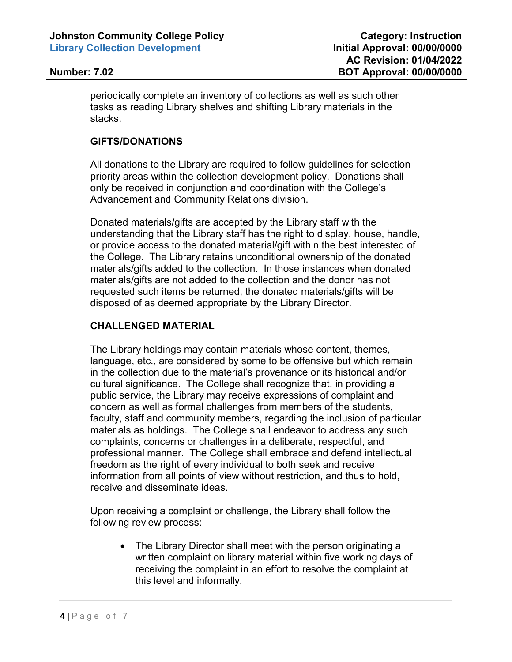periodically complete an inventory of collections as well as such other tasks as reading Library shelves and shifting Library materials in the stacks.

### **GIFTS/DONATIONS**

All donations to the Library are required to follow guidelines for selection priority areas within the collection development policy. Donations shall only be received in conjunction and coordination with the College's Advancement and Community Relations division.

Donated materials/gifts are accepted by the Library staff with the understanding that the Library staff has the right to display, house, handle, or provide access to the donated material/gift within the best interested of the College. The Library retains unconditional ownership of the donated materials/gifts added to the collection. In those instances when donated materials/gifts are not added to the collection and the donor has not requested such items be returned, the donated materials/gifts will be disposed of as deemed appropriate by the Library Director.

### **CHALLENGED MATERIAL**

The Library holdings may contain materials whose content, themes, language, etc., are considered by some to be offensive but which remain in the collection due to the material's provenance or its historical and/or cultural significance. The College shall recognize that, in providing a public service, the Library may receive expressions of complaint and concern as well as formal challenges from members of the students, faculty, staff and community members, regarding the inclusion of particular materials as holdings. The College shall endeavor to address any such complaints, concerns or challenges in a deliberate, respectful, and professional manner. The College shall embrace and defend intellectual freedom as the right of every individual to both seek and receive information from all points of view without restriction, and thus to hold, receive and disseminate ideas.

Upon receiving a complaint or challenge, the Library shall follow the following review process:

• The Library Director shall meet with the person originating a written complaint on library material within five working days of receiving the complaint in an effort to resolve the complaint at this level and informally.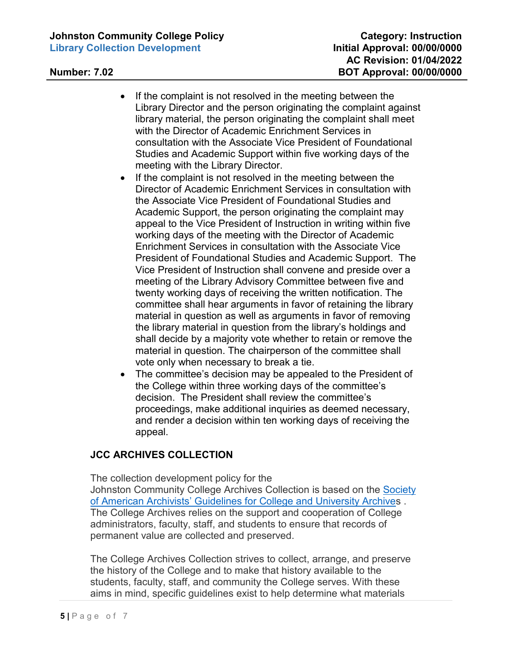- If the complaint is not resolved in the meeting between the Library Director and the person originating the complaint against library material, the person originating the complaint shall meet with the Director of Academic Enrichment Services in consultation with the Associate Vice President of Foundational Studies and Academic Support within five working days of the meeting with the Library Director.
- If the complaint is not resolved in the meeting between the Director of Academic Enrichment Services in consultation with the Associate Vice President of Foundational Studies and Academic Support, the person originating the complaint may appeal to the Vice President of Instruction in writing within five working days of the meeting with the Director of Academic Enrichment Services in consultation with the Associate Vice President of Foundational Studies and Academic Support. The Vice President of Instruction shall convene and preside over a meeting of the Library Advisory Committee between five and twenty working days of receiving the written notification. The committee shall hear arguments in favor of retaining the library material in question as well as arguments in favor of removing the library material in question from the library's holdings and shall decide by a majority vote whether to retain or remove the material in question. The chairperson of the committee shall vote only when necessary to break a tie.
- The committee's decision may be appealed to the President of the College within three working days of the committee's decision. The President shall review the committee's proceedings, make additional inquiries as deemed necessary, and render a decision within ten working days of receiving the appeal.

# **JCC ARCHIVES COLLECTION**

The collection development policy for the Johnston Community College Archives Collection is based on the [Society](https://www2.archivists.org/groups/college-and-university-archives-section/guidelines-for-college-and-university-archives)  [of American Archivists' Guidelines for College and University Archive](https://www2.archivists.org/groups/college-and-university-archives-section/guidelines-for-college-and-university-archives)s .  The College Archives relies on the support and cooperation of College administrators, faculty, staff, and students to ensure that records of permanent value are collected and preserved.

The College Archives Collection strives to collect, arrange, and preserve the history of the College and to make that history available to the students, faculty, staff, and community the College serves. With these aims in mind, specific guidelines exist to help determine what materials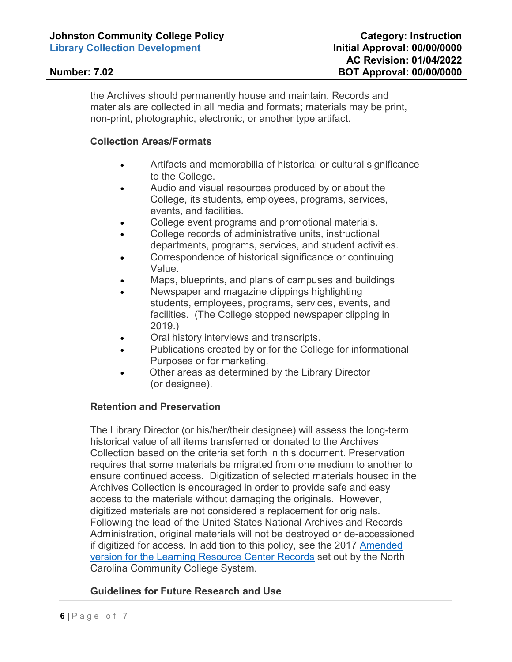the Archives should permanently house and maintain. Records and materials are collected in all media and formats; materials may be print, non-print, photographic, electronic, or another type artifact.

### **Collection Areas/Formats**

- Artifacts and memorabilia of historical or cultural significance to the College.
- Audio and visual resources produced by or about the College, its students, employees, programs, services, events, and facilities.
- College event programs and promotional materials.
- College records of administrative units, instructional departments, programs, services, and student activities.
- Correspondence of historical significance or continuing Value.
- Maps, blueprints, and plans of campuses and buildings
- Newspaper and magazine clippings highlighting students, employees, programs, services, events, and facilities. (The College stopped newspaper clipping in 2019.)
- Oral history interviews and transcripts.
- Publications created by or for the College for informational Purposes or for marketing.
- Other areas as determined by the Library Director (or designee).

### **Retention and Preservation**

The Library Director (or his/her/their designee) will assess the long-term historical value of all items transferred or donated to the Archives Collection based on the criteria set forth in this document. Preservation requires that some materials be migrated from one medium to another to ensure continued access. Digitization of selected materials housed in the Archives Collection is encouraged in order to provide safe and easy access to the materials without damaging the originals. However, digitized materials are not considered a replacement for originals. Following the lead of the United States National Archives and Records Administration, original materials will not be destroyed or de-accessioned if digitized for access. In addition to this policy, see the 2017 [Amended](https://www.nccommunitycolleges.edu/sites/default/files/basic-pages/student-services/ncccs_colleges_addition_2019.pdf)  [version for the Learning Resource Center Records](https://www.nccommunitycolleges.edu/sites/default/files/basic-pages/student-services/ncccs_colleges_addition_2019.pdf) set out by the North Carolina Community College System.

# **Guidelines for Future Research and Use**